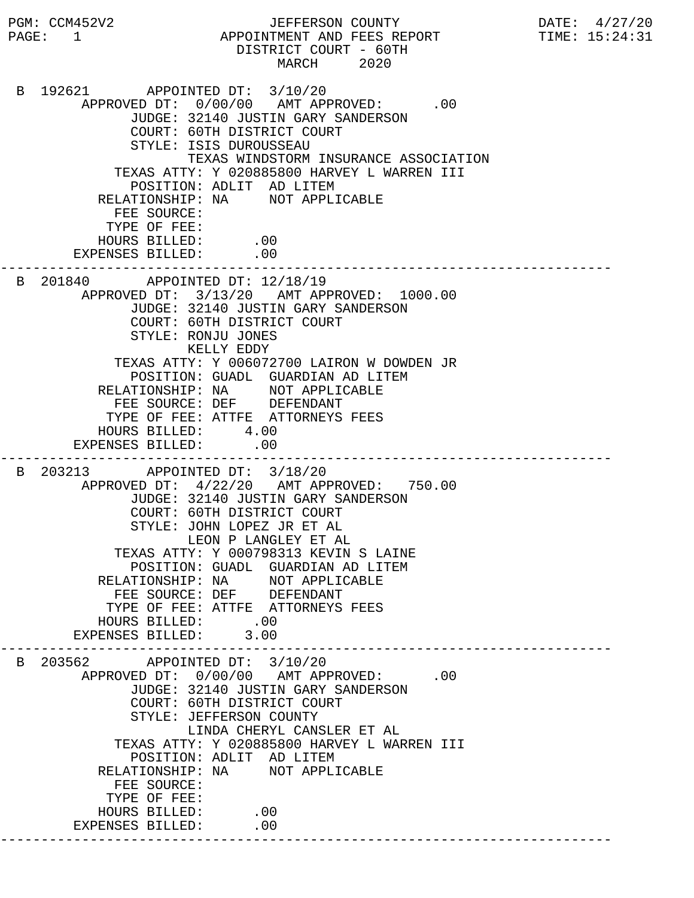PGM: CCM452V2 JEFFERSON COUNTY DATE: 4/27/20 PAGE: 1 APPOINTMENT AND FEES REPORT TIME: 15:24:31 DISTRICT COURT - 60TH MARCH 2020 B 192621 APPOINTED DT: 3/10/20 APPROVED DT:  $0/00/00$  AMT APPROVED: .00 JUDGE: 32140 JUSTIN GARY SANDERSON COURT: 60TH DISTRICT COURT STYLE: ISIS DUROUSSEAU TEXAS WINDSTORM INSURANCE ASSOCIATION TEXAS ATTY: Y 020885800 HARVEY L WARREN III POSITION: ADLIT AD LITEM RELATIONSHIP: NA NOT APPLICABLE FEE SOURCE: TYPE OF FEE: HOURS BILLED: .00 EXPENSES BILLED: .00 --------------------------------------------------------------------------- B 201840 APPOINTED DT: 12/18/19 APPROVED DT: 3/13/20 AMT APPROVED: 1000.00 JUDGE: 32140 JUSTIN GARY SANDERSON COURT: 60TH DISTRICT COURT STYLE: RONJU JONES KELLY EDDY TEXAS ATTY: Y 006072700 LAIRON W DOWDEN JR POSITION: GUADL GUARDIAN AD LITEM RELATIONSHIP: NA NOT APPLICABLE FEE SOURCE: DEF DEFENDANT TYPE OF FEE: ATTFE ATTORNEYS FEES HOURS BILLED: 4.00 EXPENSES BILLED: .00 --------------------------------------------------------------------------- B 203213 APPOINTED DT: 3/18/20 APPROVED DT: 4/22/20 AMT APPROVED: 750.00 JUDGE: 32140 JUSTIN GARY SANDERSON COURT: 60TH DISTRICT COURT STYLE: JOHN LOPEZ JR ET AL LEON P LANGLEY ET AL TEXAS ATTY: Y 000798313 KEVIN S LAINE POSITION: GUADL GUARDIAN AD LITEM RELATIONSHIP: NA NOT APPLICABLE FEE SOURCE: DEF DEFENDANT TYPE OF FEE: ATTFE ATTORNEYS FEES HOURS BILLED: .00<br>ENSES BILLED: 3.00 EXPENSES BILLED: 3.00 --------------------------------------------------------------------------- B 203562 APPOINTED DT: 3/10/20 APPROVED DT:  $0/00/00$  AMT APPROVED: .00 JUDGE: 32140 JUSTIN GARY SANDERSON COURT: 60TH DISTRICT COURT STYLE: JEFFERSON COUNTY LINDA CHERYL CANSLER ET AL TEXAS ATTY: Y 020885800 HARVEY L WARREN III POSITION: ADLIT AD LITEM RELATIONSHIP: NA NOT APPLICABLE FEE SOURCE: TYPE OF FEE: HOURS BILLED: .00 EXPENSES BILLED: .00 ---------------------------------------------------------------------------